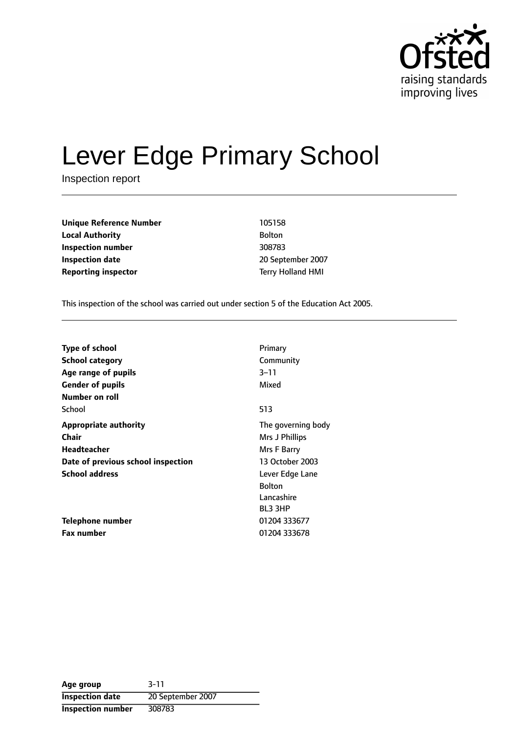

# Lever Edge Primary School

Inspection report

**Unique Reference Number** 105158 **Local Authority** Bolton **Inspection number** 308783 **Inspection date** 2007 **Reporting inspector** Terry Holland HMI

This inspection of the school was carried out under section 5 of the Education Act 2005.

| <b>Type of school</b>              | Primary            |
|------------------------------------|--------------------|
| School category                    | Community          |
| Age range of pupils                | $3 - 11$           |
| <b>Gender of pupils</b>            | Mixed              |
| Number on roll                     |                    |
| School                             | 513                |
| <b>Appropriate authority</b>       | The governing body |
| Chair                              | Mrs J Phillips     |
| Headteacher                        | Mrs F Barry        |
| Date of previous school inspection | 13 October 2003    |
| <b>School address</b>              | Lever Edge Lane    |
|                                    | <b>Bolton</b>      |
|                                    | Lancashire         |
|                                    | <b>BL3 3HP</b>     |
| Telephone number                   | 01204 333677       |
| <b>Fax number</b>                  | 01204 333678       |

**Age group** 3-11 **Inspection date** 20 September 2007 **Inspection number** 308783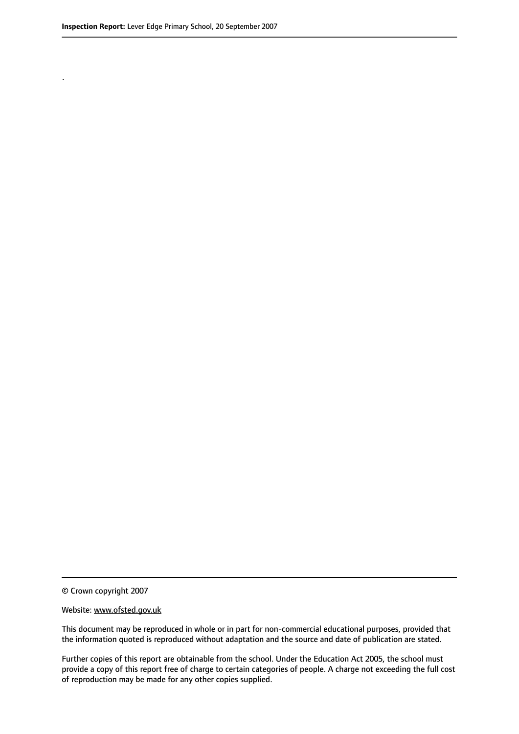.

© Crown copyright 2007

#### Website: www.ofsted.gov.uk

This document may be reproduced in whole or in part for non-commercial educational purposes, provided that the information quoted is reproduced without adaptation and the source and date of publication are stated.

Further copies of this report are obtainable from the school. Under the Education Act 2005, the school must provide a copy of this report free of charge to certain categories of people. A charge not exceeding the full cost of reproduction may be made for any other copies supplied.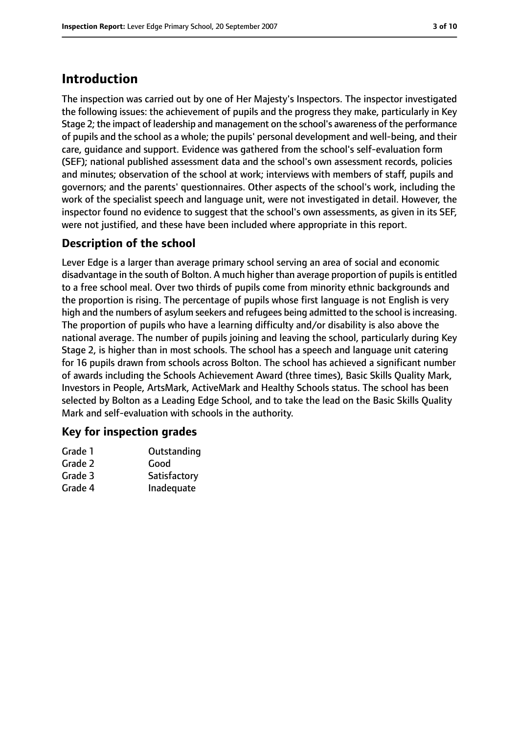# **Introduction**

The inspection was carried out by one of Her Majesty's Inspectors. The inspector investigated the following issues: the achievement of pupils and the progress they make, particularly in Key Stage 2; the impact of leadership and management on the school's awareness of the performance of pupils and the school as a whole; the pupils' personal development and well-being, and their care, guidance and support. Evidence was gathered from the school's self-evaluation form (SEF); national published assessment data and the school's own assessment records, policies and minutes; observation of the school at work; interviews with members of staff, pupils and governors; and the parents' questionnaires. Other aspects of the school's work, including the work of the specialist speech and language unit, were not investigated in detail. However, the inspector found no evidence to suggest that the school's own assessments, as given in its SEF, were not justified, and these have been included where appropriate in this report.

# **Description of the school**

Lever Edge is a larger than average primary school serving an area of social and economic disadvantage in the south of Bolton. A much higher than average proportion of pupils is entitled to a free school meal. Over two thirds of pupils come from minority ethnic backgrounds and the proportion is rising. The percentage of pupils whose first language is not English is very high and the numbers of asylum seekers and refugees being admitted to the school is increasing. The proportion of pupils who have a learning difficulty and/or disability is also above the national average. The number of pupils joining and leaving the school, particularly during Key Stage 2, is higher than in most schools. The school has a speech and language unit catering for 16 pupils drawn from schools across Bolton. The school has achieved a significant number of awards including the Schools Achievement Award (three times), Basic Skills Quality Mark, Investors in People, ArtsMark, ActiveMark and Healthy Schools status. The school has been selected by Bolton as a Leading Edge School, and to take the lead on the Basic Skills Quality Mark and self-evaluation with schools in the authority.

## **Key for inspection grades**

| Grade 1 | Outstanding  |
|---------|--------------|
| Grade 2 | Good         |
| Grade 3 | Satisfactory |
| Grade 4 | Inadequate   |
|         |              |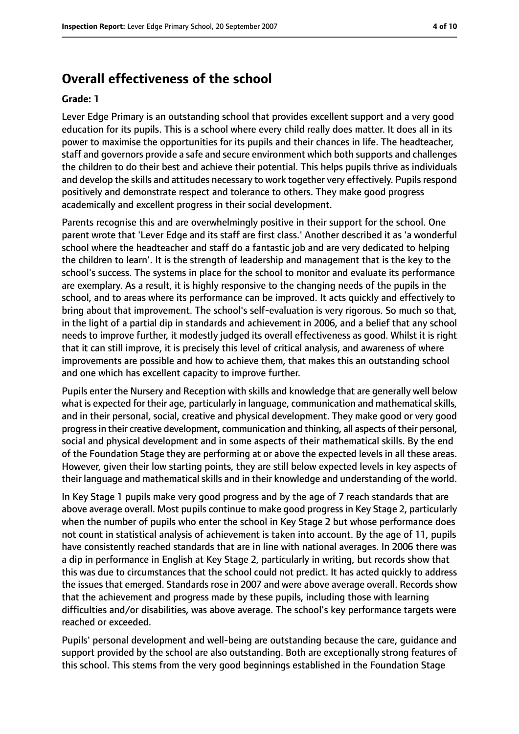# **Overall effectiveness of the school**

#### **Grade: 1**

Lever Edge Primary is an outstanding school that provides excellent support and a very good education for its pupils. This is a school where every child really does matter. It does all in its power to maximise the opportunities for its pupils and their chances in life. The headteacher, staff and governors provide a safe and secure environment which both supports and challenges the children to do their best and achieve their potential. This helps pupils thrive as individuals and develop the skills and attitudes necessary to work together very effectively. Pupils respond positively and demonstrate respect and tolerance to others. They make good progress academically and excellent progress in their social development.

Parents recognise this and are overwhelmingly positive in their support for the school. One parent wrote that 'Lever Edge and its staff are first class.' Another described it as 'a wonderful school where the headteacher and staff do a fantastic job and are very dedicated to helping the children to learn'. It is the strength of leadership and management that is the key to the school's success. The systems in place for the school to monitor and evaluate its performance are exemplary. As a result, it is highly responsive to the changing needs of the pupils in the school, and to areas where its performance can be improved. It acts quickly and effectively to bring about that improvement. The school's self-evaluation is very rigorous. So much so that, in the light of a partial dip in standards and achievement in 2006, and a belief that any school needs to improve further, it modestly judged its overall effectiveness as good. Whilst it is right that it can still improve, it is precisely this level of critical analysis, and awareness of where improvements are possible and how to achieve them, that makes this an outstanding school and one which has excellent capacity to improve further.

Pupils enter the Nursery and Reception with skills and knowledge that are generally well below what is expected for their age, particularly in language, communication and mathematical skills, and in their personal, social, creative and physical development. They make good or very good progressin their creative development, communication and thinking, all aspects of their personal, social and physical development and in some aspects of their mathematical skills. By the end of the Foundation Stage they are performing at or above the expected levels in all these areas. However, given their low starting points, they are still below expected levels in key aspects of their language and mathematical skills and in their knowledge and understanding of the world.

In Key Stage 1 pupils make very good progress and by the age of 7 reach standards that are above average overall. Most pupils continue to make good progress in Key Stage 2, particularly when the number of pupils who enter the school in Key Stage 2 but whose performance does not count in statistical analysis of achievement is taken into account. By the age of 11, pupils have consistently reached standards that are in line with national averages. In 2006 there was a dip in performance in English at Key Stage 2, particularly in writing, but records show that this was due to circumstances that the school could not predict. It has acted quickly to address the issues that emerged. Standards rose in 2007 and were above average overall. Records show that the achievement and progress made by these pupils, including those with learning difficulties and/or disabilities, was above average. The school's key performance targets were reached or exceeded.

Pupils' personal development and well-being are outstanding because the care, guidance and support provided by the school are also outstanding. Both are exceptionally strong features of this school. This stems from the very good beginnings established in the Foundation Stage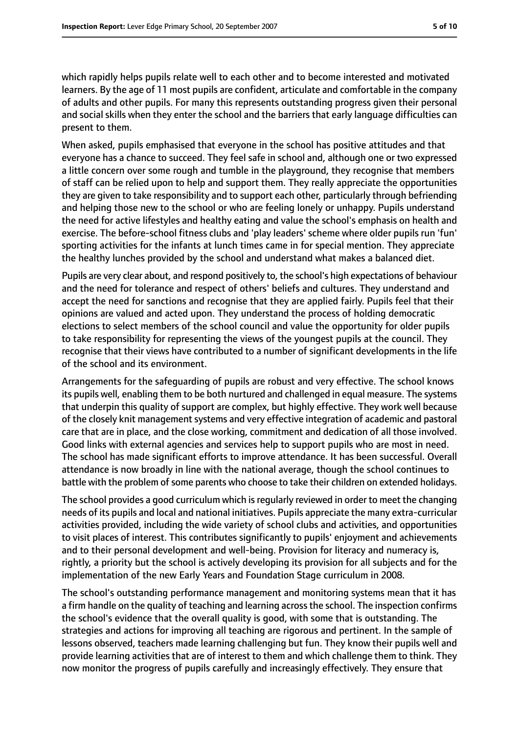which rapidly helps pupils relate well to each other and to become interested and motivated learners. By the age of 11 most pupils are confident, articulate and comfortable in the company of adults and other pupils. For many this represents outstanding progress given their personal and social skills when they enter the school and the barriers that early language difficulties can present to them.

When asked, pupils emphasised that everyone in the school has positive attitudes and that everyone has a chance to succeed. They feel safe in school and, although one or two expressed a little concern over some rough and tumble in the playground, they recognise that members of staff can be relied upon to help and support them. They really appreciate the opportunities they are given to take responsibility and to support each other, particularly through befriending and helping those new to the school or who are feeling lonely or unhappy. Pupils understand the need for active lifestyles and healthy eating and value the school's emphasis on health and exercise. The before-school fitness clubs and 'play leaders' scheme where older pupils run 'fun' sporting activities for the infants at lunch times came in for special mention. They appreciate the healthy lunches provided by the school and understand what makes a balanced diet.

Pupils are very clear about, and respond positively to, the school's high expectations of behaviour and the need for tolerance and respect of others' beliefs and cultures. They understand and accept the need for sanctions and recognise that they are applied fairly. Pupils feel that their opinions are valued and acted upon. They understand the process of holding democratic elections to select members of the school council and value the opportunity for older pupils to take responsibility for representing the views of the youngest pupils at the council. They recognise that their views have contributed to a number of significant developments in the life of the school and its environment.

Arrangements for the safeguarding of pupils are robust and very effective. The school knows its pupils well, enabling them to be both nurtured and challenged in equal measure. The systems that underpin this quality of support are complex, but highly effective. They work well because of the closely knit management systems and very effective integration of academic and pastoral care that are in place, and the close working, commitment and dedication of all those involved. Good links with external agencies and services help to support pupils who are most in need. The school has made significant efforts to improve attendance. It has been successful. Overall attendance is now broadly in line with the national average, though the school continues to battle with the problem of some parents who choose to take their children on extended holidays.

The school provides a good curriculum which is regularly reviewed in order to meet the changing needs of its pupils and local and national initiatives. Pupils appreciate the many extra-curricular activities provided, including the wide variety of school clubs and activities, and opportunities to visit places of interest. This contributes significantly to pupils' enjoyment and achievements and to their personal development and well-being. Provision for literacy and numeracy is, rightly, a priority but the school is actively developing its provision for all subjects and for the implementation of the new Early Years and Foundation Stage curriculum in 2008.

The school's outstanding performance management and monitoring systems mean that it has a firm handle on the quality of teaching and learning acrossthe school. The inspection confirms the school's evidence that the overall quality is good, with some that is outstanding. The strategies and actions for improving all teaching are rigorous and pertinent. In the sample of lessons observed, teachers made learning challenging but fun. They know their pupils well and provide learning activities that are of interest to them and which challenge them to think. They now monitor the progress of pupils carefully and increasingly effectively. They ensure that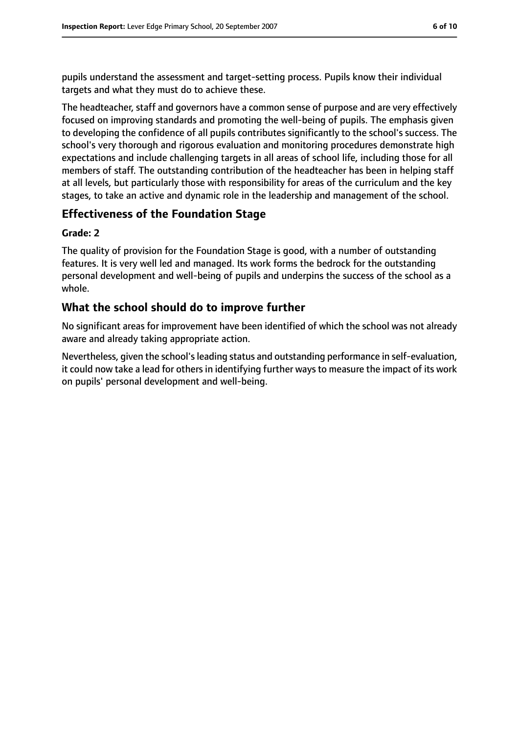pupils understand the assessment and target-setting process. Pupils know their individual targets and what they must do to achieve these.

The headteacher, staff and governors have a common sense of purpose and are very effectively focused on improving standards and promoting the well-being of pupils. The emphasis given to developing the confidence of all pupils contributes significantly to the school's success. The school's very thorough and rigorous evaluation and monitoring procedures demonstrate high expectations and include challenging targets in all areas of school life, including those for all members of staff. The outstanding contribution of the headteacher has been in helping staff at all levels, but particularly those with responsibility for areas of the curriculum and the key stages, to take an active and dynamic role in the leadership and management of the school.

# **Effectiveness of the Foundation Stage**

#### **Grade: 2**

The quality of provision for the Foundation Stage is good, with a number of outstanding features. It is very well led and managed. Its work forms the bedrock for the outstanding personal development and well-being of pupils and underpins the success of the school as a whole.

## **What the school should do to improve further**

No significant areas for improvement have been identified of which the school was not already aware and already taking appropriate action.

Nevertheless, given the school's leading status and outstanding performance in self-evaluation, it could now take a lead for others in identifying further ways to measure the impact of its work on pupils' personal development and well-being.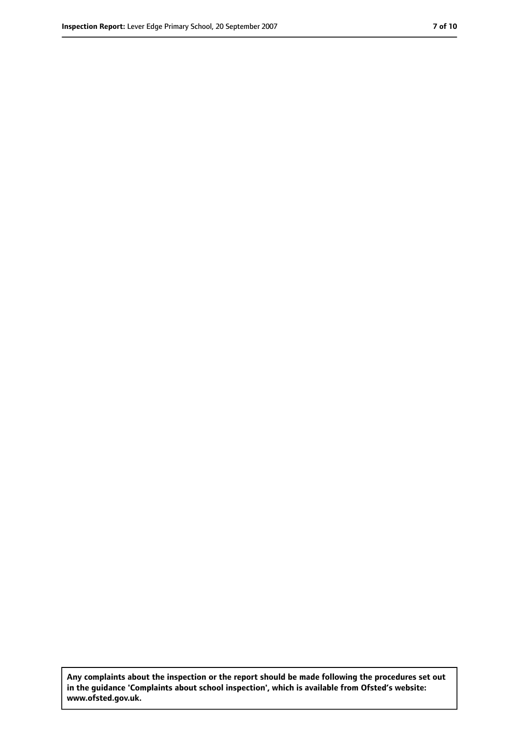**Any complaints about the inspection or the report should be made following the procedures set out in the guidance 'Complaints about school inspection', which is available from Ofsted's website: www.ofsted.gov.uk.**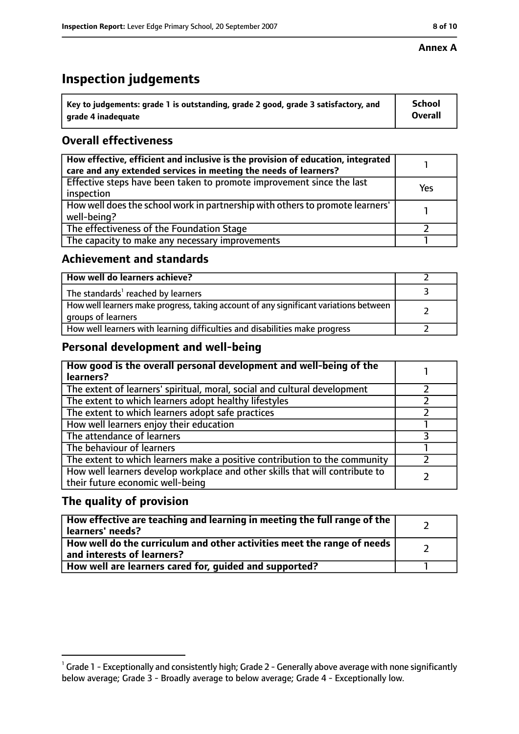## **Annex A**

# **Inspection judgements**

| $^{\backprime}$ Key to judgements: grade 1 is outstanding, grade 2 good, grade 3 satisfactory, and | <b>School</b>  |
|----------------------------------------------------------------------------------------------------|----------------|
| arade 4 inadequate                                                                                 | <b>Overall</b> |

# **Overall effectiveness**

| How effective, efficient and inclusive is the provision of education, integrated<br>care and any extended services in meeting the needs of learners? |     |
|------------------------------------------------------------------------------------------------------------------------------------------------------|-----|
| Effective steps have been taken to promote improvement since the last<br>inspection                                                                  | Yes |
| How well does the school work in partnership with others to promote learners'<br>well-being?                                                         |     |
| The effectiveness of the Foundation Stage                                                                                                            |     |
| The capacity to make any necessary improvements                                                                                                      |     |

## **Achievement and standards**

| How well do learners achieve?                                                                               |  |
|-------------------------------------------------------------------------------------------------------------|--|
| The standards <sup>1</sup> reached by learners                                                              |  |
| How well learners make progress, taking account of any significant variations between<br>groups of learners |  |
| How well learners with learning difficulties and disabilities make progress                                 |  |

# **Personal development and well-being**

| How good is the overall personal development and well-being of the<br>learners?                                  |  |
|------------------------------------------------------------------------------------------------------------------|--|
| The extent of learners' spiritual, moral, social and cultural development                                        |  |
| The extent to which learners adopt healthy lifestyles                                                            |  |
| The extent to which learners adopt safe practices                                                                |  |
| How well learners enjoy their education                                                                          |  |
| The attendance of learners                                                                                       |  |
| The behaviour of learners                                                                                        |  |
| The extent to which learners make a positive contribution to the community                                       |  |
| How well learners develop workplace and other skills that will contribute to<br>their future economic well-being |  |

# **The quality of provision**

| How effective are teaching and learning in meeting the full range of the<br>learners' needs?          |  |
|-------------------------------------------------------------------------------------------------------|--|
| How well do the curriculum and other activities meet the range of needs<br>and interests of learners? |  |
| How well are learners cared for, quided and supported?                                                |  |

 $^1$  Grade 1 - Exceptionally and consistently high; Grade 2 - Generally above average with none significantly below average; Grade 3 - Broadly average to below average; Grade 4 - Exceptionally low.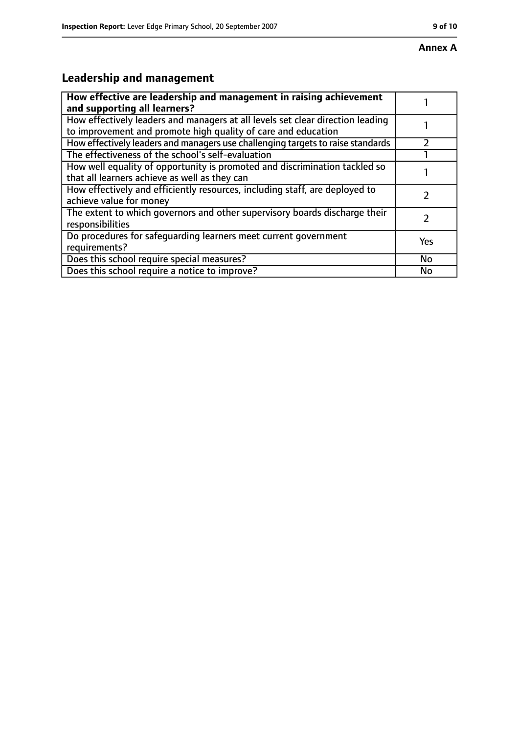# **Annex A**

# **Leadership and management**

| How effective are leadership and management in raising achievement<br>and supporting all learners?                                              |     |
|-------------------------------------------------------------------------------------------------------------------------------------------------|-----|
| How effectively leaders and managers at all levels set clear direction leading<br>to improvement and promote high quality of care and education |     |
| How effectively leaders and managers use challenging targets to raise standards                                                                 |     |
| The effectiveness of the school's self-evaluation                                                                                               |     |
| How well equality of opportunity is promoted and discrimination tackled so<br>that all learners achieve as well as they can                     |     |
| How effectively and efficiently resources, including staff, are deployed to<br>achieve value for money                                          |     |
| The extent to which governors and other supervisory boards discharge their<br>responsibilities                                                  |     |
| Do procedures for safequarding learners meet current government<br>requirements?                                                                | Yes |
| Does this school require special measures?                                                                                                      | No  |
| Does this school require a notice to improve?                                                                                                   | No  |